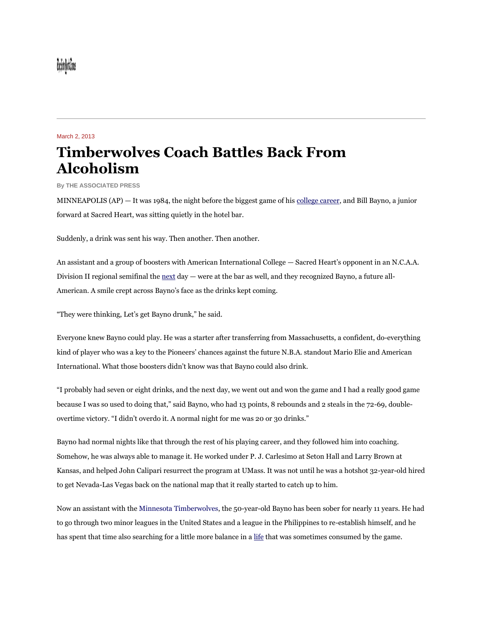

## March 2, 2013

## **Timberwolves Coach Battles Back From Alcoholism**

**By THE ASSOCIATED PRESS**

MINNEAPOLIS (AP) — It was 1984, the night before the biggest game of his [college career,](http://www.nytimes.com/2013/03/03/sports/basketball/timberwolves-coach-who-battled-alcoholism-re-establishes-himself.html?_r=1&&pagewanted=print) and Bill Bayno, a junior forward at Sacred Heart, was sitting quietly in the hotel bar.

Suddenly, a drink was sent his way. Then another. Then another.

An assistant and a group of boosters with American International College — Sacred Heart's opponent in an N.C.A.A. Division II regional semifinal the <u>next</u> day — were at the bar as well, and they recognized Bayno, a future all-American. A smile crept across Bayno's face as the drinks kept coming.

"They were thinking, Let's get Bayno drunk," he said.

Everyone knew Bayno could play. He was a starter after transferring from Massachusetts, a confident, do-everything kind of player who was a key to the Pioneers' chances against the future N.B.A. standout Mario Elie and American International. What those boosters didn't know was that Bayno could also drink.

"I probably had seven or eight drinks, and the next day, we went out and won the game and I had a really good game because I was so used to doing that," said Bayno, who had 13 points, 8 rebounds and 2 steals in the 72-69, doubleovertime victory. "I didn't overdo it. A normal night for me was 20 or 30 drinks."

Bayno had normal nights like that through the rest of his playing career, and they followed him into coaching. Somehow, he was always able to manage it. He worked under P. J. Carlesimo at Seton Hall and Larry Brown at Kansas, and helped John Calipari resurrect the program at UMass. It was not until he was a hotshot 32-year-old hired to get Nevada-Las Vegas back on the national map that it really started to catch up to him.

Now an assistant with th[e Minnesota Timberwolves,](http://topics.nytimes.com/top/news/sports/probasketball/nationalbasketballassociation/minnesotatimberwolves/index.html?inline=nyt-org) the 50-year-old Bayno has been sober for nearly 11 years. He had to go through two minor leagues in the United States and a league in the Philippines to re-establish himself, and he has spent that time also searching for a little more balance in a [life](http://www.nytimes.com/2013/03/03/sports/basketball/timberwolves-coach-who-battled-alcoholism-re-establishes-himself.html?_r=1&&pagewanted=print) that was sometimes consumed by the game.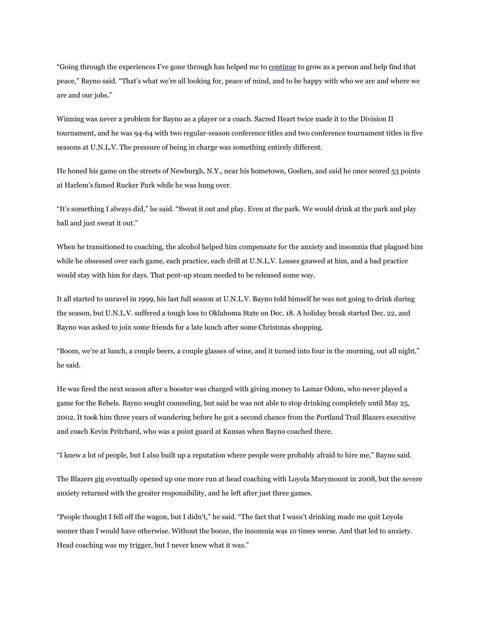"Going through the experiences I've gone through has helped me to [continue](http://www.nytimes.com/2013/03/03/sports/basketball/timberwolves-coach-who-battled-alcoholism-re-establishes-himself.html?_r=1&&pagewanted=print) to grow as a person and help find that peace," Bayno said. "That's what we're all looking for, peace of mind, and to be happy with who we are and where we are and our jobs."

Winning was never a problem for Bayno as a player or a coach. Sacred Heart twice made it to the Division II tournament, and he was 94-64 with two regular-season conference titles and two conference tournament titles in five seasons at U.N.L.V. The pressure of being in charge was something entirely different.

He honed his game on the streets of Newburgh, N.Y., near his hometown, Goshen, and said he once scored 53 points at Harlem's famed Rucker Park while he was hung over.

"It's something I always did," he said. "Sweat it out and play. Even at the park. We would drink at the park and play ball and just sweat it out."

When he transitioned to coaching, the alcohol helped him compensate for the anxiety and insomnia that plagued him while he obsessed over each game, each practice, each drill at U.N.L.V. Losses gnawed at him, and a bad practice would stay with him for days. That pent-up steam needed to be released some way.

It all started to unravel in 1999, his last full season at U.N.L.V. Bayno told himself he was not going to drink during the season, but U.N.L.V. suffered a tough loss to Oklahoma State on Dec. 18. A holiday break started Dec. 22, and Bayno was asked to join some friends for a late lunch after some Christmas shopping.

"Boom, we're at lunch, a couple beers, a couple glasses of wine, and it turned into four in the morning, out all night," he said.

He was fired the next season after a booster was charged with giving money to Lamar Odom, who never played a game for the Rebels. Bayno sought counseling, but said he was not able to stop drinking completely until May 25, 2002. It took him three years of wandering before he got a second chance from the Portland Trail Blazers executive and coach Kevin Pritchard, who was a point guard at Kansas when Bayno coached there.

"I knew a lot of people, but I also built up a reputation where people were probably afraid to hire me," Bayno said.

The Blazers gig eventually opened up one more run at head coaching with Loyola Marymount in 2008, but the severe anxiety returned with the greater responsibility, and he left after just three games.

"People thought I fell off the wagon, but I didn't," he said. "The fact that I wasn't drinking made me quit Loyola sooner than I would have otherwise. Without the booze, the insomnia was 10 times worse. And that led to anxiety. Head coaching was my trigger, but I never knew what it was."